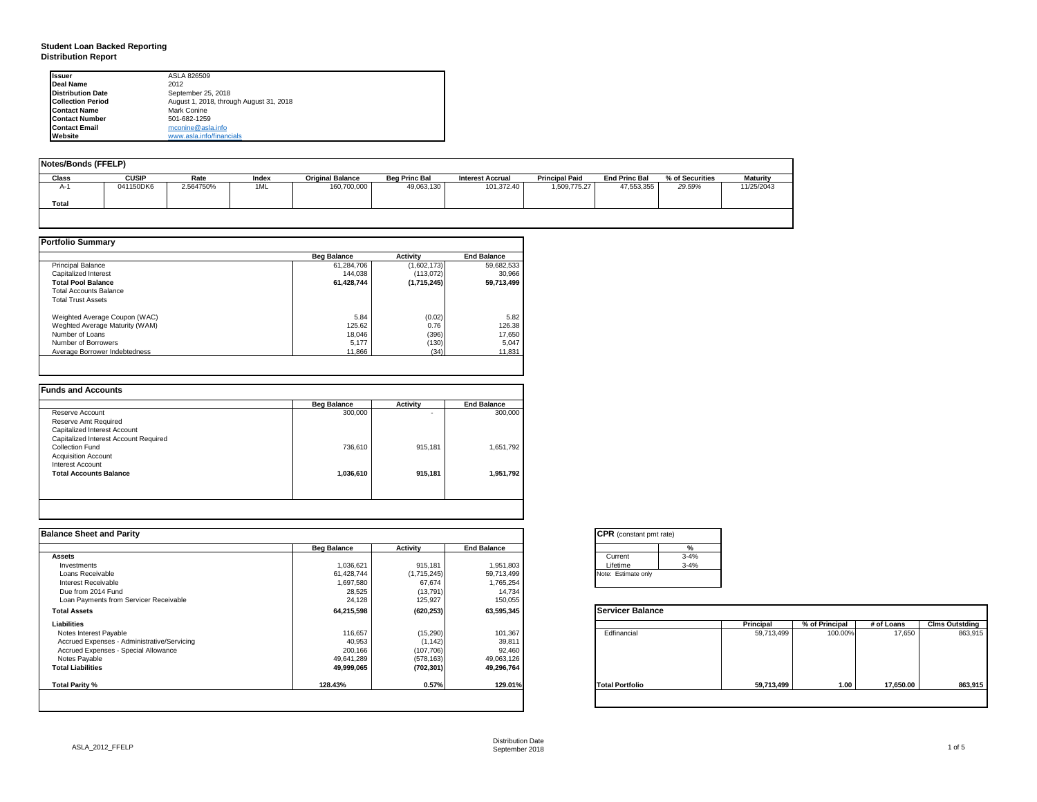#### **Student Loan Backed Reporting Distribution Report**

| Issuer                   | ASLA 826509                             |
|--------------------------|-----------------------------------------|
| Deal Name                | 2012                                    |
| <b>Distribution Date</b> | September 25, 2018                      |
| <b>Collection Period</b> | August 1, 2018, through August 31, 2018 |
| <b>Contact Name</b>      | Mark Conine                             |
| <b>Contact Number</b>    | 501-682-1259                            |
| <b>Contact Email</b>     | mconine@asla.info                       |
| Website                  | www.asla.info/financials                |

| Notes/Bonds (FFELP) |              |           |       |                         |                      |                         |                       |                      |                 |            |
|---------------------|--------------|-----------|-------|-------------------------|----------------------|-------------------------|-----------------------|----------------------|-----------------|------------|
| Class               | <b>CUSIP</b> | Rate      | Index | <b>Original Balance</b> | <b>Bea Princ Bal</b> | <b>Interest Accrual</b> | <b>Principal Paid</b> | <b>End Princ Bal</b> | % of Securities | Maturity   |
| А-                  | 041150DK6    | 2.564750% | 1ML   | 160,700,000             | 49,063,130           | 101,372.40              | 1,509,775.27          | 47,553,355           | 29.59%          | 11/25/2043 |
| Total               |              |           |       |                         |                      |                         |                       |                      |                 |            |
|                     |              |           |       |                         |                      |                         |                       |                      |                 |            |

|                                | <b>Beg Balance</b> | <b>Activity</b> | <b>End Balance</b> |
|--------------------------------|--------------------|-----------------|--------------------|
| <b>Principal Balance</b>       | 61,284,706         | (1,602,173)     | 59,682,533         |
| Capitalized Interest           | 144.038            | (113,072)       | 30,966             |
| <b>Total Pool Balance</b>      | 61.428.744         | (1,715,245)     | 59.713.499         |
| <b>Total Accounts Balance</b>  |                    |                 |                    |
| <b>Total Trust Assets</b>      |                    |                 |                    |
| Weighted Average Coupon (WAC)  | 5.84               | (0.02)          | 5.82               |
| Weghted Average Maturity (WAM) | 125.62             | 0.76            | 126.38             |
| Number of Loans                | 18.046             | (396)           | 17,650             |
| Number of Borrowers            | 5.177              | (130)           | 5,047              |
| Average Borrower Indebtedness  | 11,866             | (34)            | 11,831             |

|                                       | <b>Beg Balance</b> | <b>Activity</b> | <b>End Balance</b> |
|---------------------------------------|--------------------|-----------------|--------------------|
| Reserve Account                       | 300,000            | ۰               | 300,000            |
| Reserve Amt Required                  |                    |                 |                    |
| Capitalized Interest Account          |                    |                 |                    |
| Capitalized Interest Account Required |                    |                 |                    |
| Collection Fund                       | 736,610            | 915,181         | 1,651,792          |
| <b>Acquisition Account</b>            |                    |                 |                    |
| Interest Account                      |                    |                 |                    |
| <b>Total Accounts Balance</b>         | 1,036,610          | 915,181         | 1,951,792          |
|                                       |                    |                 |                    |
|                                       |                    |                 |                    |

| <b>Balance Sheet and Parity</b>             |                    |             |                    | <b>CPR</b> (constant pmt rate) |            |                |            |                       |
|---------------------------------------------|--------------------|-------------|--------------------|--------------------------------|------------|----------------|------------|-----------------------|
|                                             | <b>Beg Balance</b> | Activity    | <b>End Balance</b> | %                              |            |                |            |                       |
| <b>Assets</b>                               |                    |             |                    | $3 - 4%$<br>Current            |            |                |            |                       |
| Investments                                 | 1,036,621          | 915,181     | 1,951,803          | $3 - 4%$<br>Lifetime           |            |                |            |                       |
| Loans Receivable                            | 61,428,744         | (1,715,245) | 59,713,499         | Note: Estimate only            |            |                |            |                       |
| Interest Receivable                         | 1,697,580          | 67,674      | 1,765,254          |                                |            |                |            |                       |
| Due from 2014 Fund                          | 28,525             | (13,791)    | 14,734             |                                |            |                |            |                       |
| Loan Payments from Servicer Receivable      | 24,128             | 125,927     | 150,055            |                                |            |                |            |                       |
| <b>Total Assets</b>                         | 64,215,598         | (620, 253)  | 63,595,345         | Servicer Balance               |            |                |            |                       |
| Liabilities                                 |                    |             |                    |                                | Principal  | % of Principal | # of Loans | <b>Clms Outstding</b> |
| Notes Interest Payable                      | 116,657            | (15,290)    | 101,367            | Edfinancial                    | 59,713,499 | 100.00%        | 17,650     | 863,915               |
| Accrued Expenses - Administrative/Servicing | 40,953             | (1, 142)    | 39,811             |                                |            |                |            |                       |
| Accrued Expenses - Special Allowance        | 200,166            | (107, 706)  | 92,460             |                                |            |                |            |                       |
| Notes Payable                               | 49,641,289         | (578, 163)  | 49,063,126         |                                |            |                |            |                       |
| <b>Total Liabilities</b>                    | 49,999,065         | (702, 301)  | 49,296,764         |                                |            |                |            |                       |
| Total Parity %                              | 128.43%            | 0.57%       | 129.01%            | <b>Total Portfolio</b>         | 59,713,499 | 1.00           | 17,650.00  | 863,915               |
|                                             |                    |             |                    |                                |            |                |            |                       |

| CPR (constant pmt rate) |          |  |  |  |  |  |  |
|-------------------------|----------|--|--|--|--|--|--|
|                         | %        |  |  |  |  |  |  |
| Current                 | $3 - 4%$ |  |  |  |  |  |  |
| Lifetime                | $3 - 4%$ |  |  |  |  |  |  |
| Note: Estimate only     |          |  |  |  |  |  |  |

|                        | Principal  | % of Principal | # of Loans | <b>Clms Outstding</b> |
|------------------------|------------|----------------|------------|-----------------------|
| Edfinancial            | 59,713,499 | 100.00%        | 17,650     | 863,915               |
| <b>Total Portfolio</b> | 59,713,499 | 1.00           | 17,650.00  | 863,915               |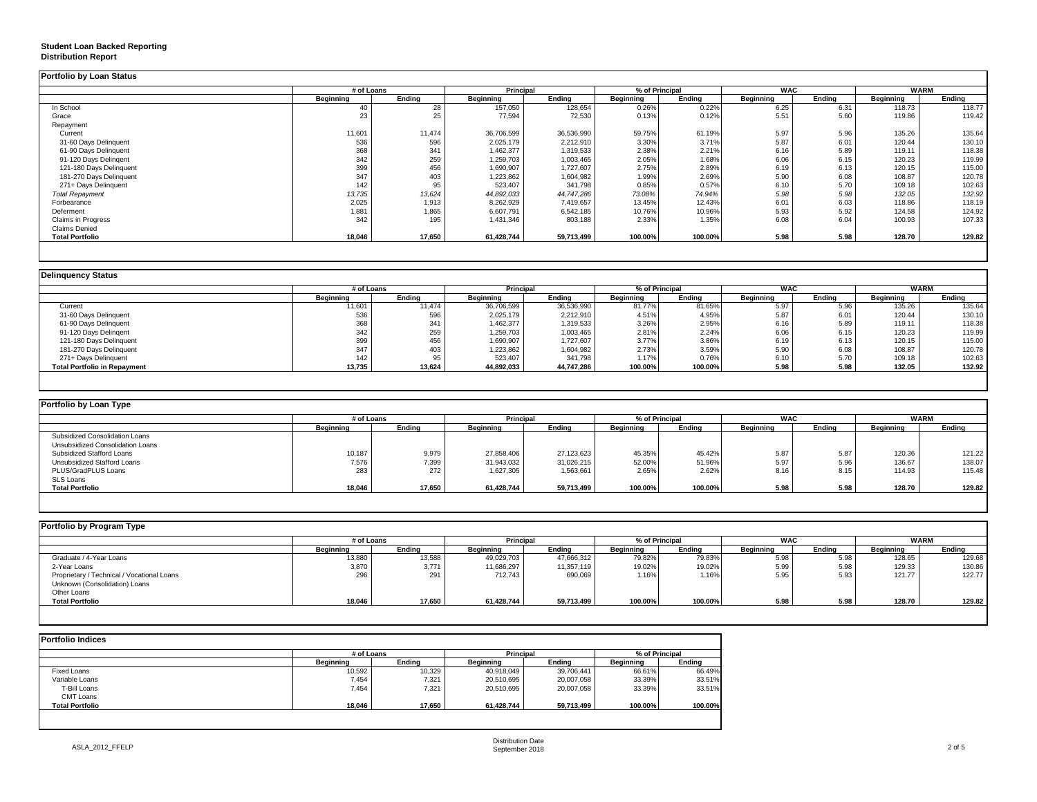### **Student Loan Backed Reporting**

#### **Distribution Report**

| <b>Portfolio by Loan Status</b> |            |        |            |            |                |         |            |        |             |        |
|---------------------------------|------------|--------|------------|------------|----------------|---------|------------|--------|-------------|--------|
|                                 | # of Loans |        | Principal  |            | % of Principal |         | <b>WAC</b> |        | <b>WARM</b> |        |
|                                 | Beginning  | Endina | Beainnina  | Endina     | Beginning      | Endina  | Beainnina  | Endina | Beginning   | Ending |
| In School                       | 40         | 28     | 157,050    | 128,654    | 0.26%          | 0.22%   | 6.25       | 6.31   | 118.73      | 118.77 |
| Grace                           | 23         | 25     | 77,594     | 72,530     | 0.13%          | 0.12%   | 5.51       | 5.60   | 119.86      | 119.42 |
| Repayment                       |            |        |            |            |                |         |            |        |             |        |
| Current                         | 11,601     | 11,474 | 36,706,599 | 36,536,990 | 59.75%         | 61.19%  | 5.97       | 5.96   | 135.26      | 135.64 |
| 31-60 Days Delinquent           | 536        | 596    | 2,025,179  | 2,212,910  | 3.30%          | 3.71%   | 5.87       | 6.01   | 120.44      | 130.10 |
| 61-90 Days Delinquent           | 368        | 341    | 1,462,377  | 1,319,533  | 2.38%          | 2.21%   | 6.16       | 5.89   | 119.11      | 118.38 |
| 91-120 Days Delingent           | 342        | 259    | 1,259,703  | 1,003,465  | 2.05%          | 1.68%   | 6.06       | 6.15   | 120.23      | 119.99 |
| 121-180 Days Delinquent         | 399        | 456    | 1,690,907  | 1,727,607  | 2.75%          | 2.89%   | 6.19       | 6.13   | 120.15      | 115.00 |
| 181-270 Days Delinquent         | 347        | 403    | 1,223,862  | 1,604,982  | 1.99%          | 2.69%   | 5.90       | 6.08   | 108.87      | 120.78 |
| 271+ Days Delinquent            | 142        | 95     | 523,407    | 341,798    | 0.85%          | 0.57%   | 6.10       | 5.70   | 109.18      | 102.63 |
| <b>Total Repayment</b>          | 13,735     | 13,624 | 44,892,033 | 44,747,286 | 73.08%         | 74.94%  | 5.98       | 5.98   | 132.05      | 132.92 |
| Forbearance                     | 2,025      | 1,913  | 8,262,929  | 7,419,657  | 13.45%         | 12.43%  | 6.01       | 6.03   | 118.86      | 118.19 |
| Deferment                       | 1,881      | 1,865  | 6,607,791  | 6,542,185  | 10.76%         | 10.96%  | 5.93       | 5.92   | 124.58      | 124.92 |
| <b>Claims in Progress</b>       | 342        | 195    | 1,431,346  | 803,188    | 2.33%          | 1.35%   | 6.08       | 6.04   | 100.93      | 107.33 |
| <b>Claims Denied</b>            |            |        |            |            |                |         |            |        |             |        |
| <b>Total Portfolio</b>          | 18,046     | 17,650 | 61,428,744 | 59,713,499 | 100.00%        | 100.00% | 5.98       | 5.98   | 128.70      | 129.82 |
|                                 |            |        |            |            |                |         |            |        |             |        |

| <b>Delinguency Status</b>           |           |            |            |            |                  |         |                  |        |                  |        |
|-------------------------------------|-----------|------------|------------|------------|------------------|---------|------------------|--------|------------------|--------|
|                                     |           | # of Loans |            | Principal  | % of Principal   |         | <b>WAC</b>       |        | <b>WARM</b>      |        |
|                                     | Beginning | Ending     | Beginning  | Ending     | <b>Beginning</b> | Endina  | <b>Beginning</b> | Endina | <b>Beginning</b> | Endina |
| Current                             | 11,601    | 11.474     | 36,706,599 | 36,536,990 | 81.77%           | 81.65%  | 5.97             | 5.96   | 135.26           | 135.64 |
| 31-60 Days Delinquent               | 536       | 596        | 2,025,179  | 2,212,910  | 4.51%            | 4.95%   | 5.87             | 6.01   | 120.44           | 130.10 |
| 61-90 Days Delinquent               | 368       | 341        | 1,462,377  | 1,319,533  | 3.26%            | 2.95%   | 6.16             | 5.89   | 119.11           | 118.38 |
| 91-120 Days Delingent               | 342       | 259        | 1,259,703  | 1,003,465  | 2.81%            | 2.24%   | 6.06             | 6.15   | 120.23           | 119.99 |
| 121-180 Days Delinquent             | 399       | 456        | 1,690,907  | 1,727,607  | 3.77%            | 3.86%   | 6.19             | 6.13   | 120.15           | 115.00 |
| 181-270 Days Delinquent             | 347       | 403        | 1,223,862  | 1,604,982  | 2.73%            | 3.59%   | 5.90             | 6.08   | 108.87           | 120.78 |
| 271+ Days Delinguent                | 142       | 95         | 523,407    | 341,798    | 1.17%            | 0.76%   | 6.10             | 5.70   | 109.18           | 102.63 |
| <b>Total Portfolio in Repayment</b> | 13,735    | 13,624     | 44,892,033 | 44,747,286 | 100.00%          | 100.00% | 5.98             | 5.98   | 132.05           | 132.92 |

| Portfolio by Loan Type           |                  |        |                  |                |                  |         |                  |            |           |             |
|----------------------------------|------------------|--------|------------------|----------------|------------------|---------|------------------|------------|-----------|-------------|
|                                  | # of Loans       |        | Principal        | % of Principal |                  |         |                  | <b>WAC</b> |           | <b>WARM</b> |
|                                  | <b>Beginning</b> | Ending | <b>Beginning</b> | Ending         | <b>Beainning</b> | Ending  | <b>Beginning</b> | Ending     | Beginning | Ending      |
| Subsidized Consolidation Loans   |                  |        |                  |                |                  |         |                  |            |           |             |
| Unsubsidized Consolidation Loans |                  |        |                  |                |                  |         |                  |            |           |             |
| Subsidized Stafford Loans        | 10,187           | 9,979  | 27.858.406       | 27,123,623     | 45.35%           | 45.42%  | 5.87             | 5.87       | 120.36    | 121.22      |
| Unsubsidized Stafford Loans      | 7,576            | 7,399  | 31,943,032       | 31,026,215     | 52.00%           | 51.96%  | 5.97             | 5.96       | 136.67    | 138.07      |
| PLUS/GradPLUS Loans              | 283              | 272    | 1,627,305        | 1,563,661      | 2.65%            | 2.62%   | 8.16             | 8.15       | 114.93    | 115.48      |
| SLS Loans                        |                  |        |                  |                |                  |         |                  |            |           |             |
| <b>Total Portfolio</b>           | 18,046           | 17,650 | 61,428,744       | 59,713,499     | 100.00%          | 100.00% | 5.98             | 5.98       | 128.70    | 129.82      |

|                  | # of Loans |            | Principal  | % of Principal |         | <b>WAC</b>       |        | <b>WARM</b> |        |
|------------------|------------|------------|------------|----------------|---------|------------------|--------|-------------|--------|
| <b>Beginning</b> | Endina     | Beainnina  | Ending     | Beginning      | Endina  | <b>Beainning</b> | Endina | Beginning   | Ending |
|                  | 13,588     | 49,029,703 | 47,666,312 | 79.82%         | 79.83%  | 5.98             | 5.98   | 128.65      | 129.68 |
| 3,870            | 3,771      | 11,686,297 | 11,357,119 | 19.02%         | 19.02%  | 5.99             | 5.98   | 129.33      | 130.86 |
| 296              | 291        | 712.743    | 690,069    | 1.16%          | 1.16%   | 5.95             | 5.93   | 121.77      | 122.77 |
|                  |            |            |            |                |         |                  |        |             |        |
|                  |            |            |            |                |         |                  |        |             |        |
| 18,046           |            | 61,428,744 | 59,713,499 | 100.00%        | 100.00% | 5.98             | 5.98   | 128.70      | 129.82 |
|                  | 13,880     | 17,650     |            |                |         |                  |        |             |        |

| <b>Portfolio Indices</b> |            |        |                  |            |                  |         |
|--------------------------|------------|--------|------------------|------------|------------------|---------|
|                          | # of Loans |        | <b>Principal</b> |            | % of Principal   |         |
|                          | Beainnina  | Endina | Beginning        | Endina     | <b>Beainning</b> | Endina  |
| Fixed Loans              | 10,592     | 10,329 | 40,918,049       | 39,706,441 | 66.61%           | 66.49%  |
| Variable Loans           | 7,454      | 7,321  | 20,510,695       | 20.007.058 | 33.39%           | 33.51%  |
| T-Bill Loans             | 7.454      | 7.321  | 20,510,695       | 20,007,058 | 33.39%           | 33.51%  |
| CMT Loans                |            |        |                  |            |                  |         |
| <b>Total Portfolio</b>   | 18.046     | 17.650 | 61,428,744       | 59,713,499 | 100.00%          | 100.00% |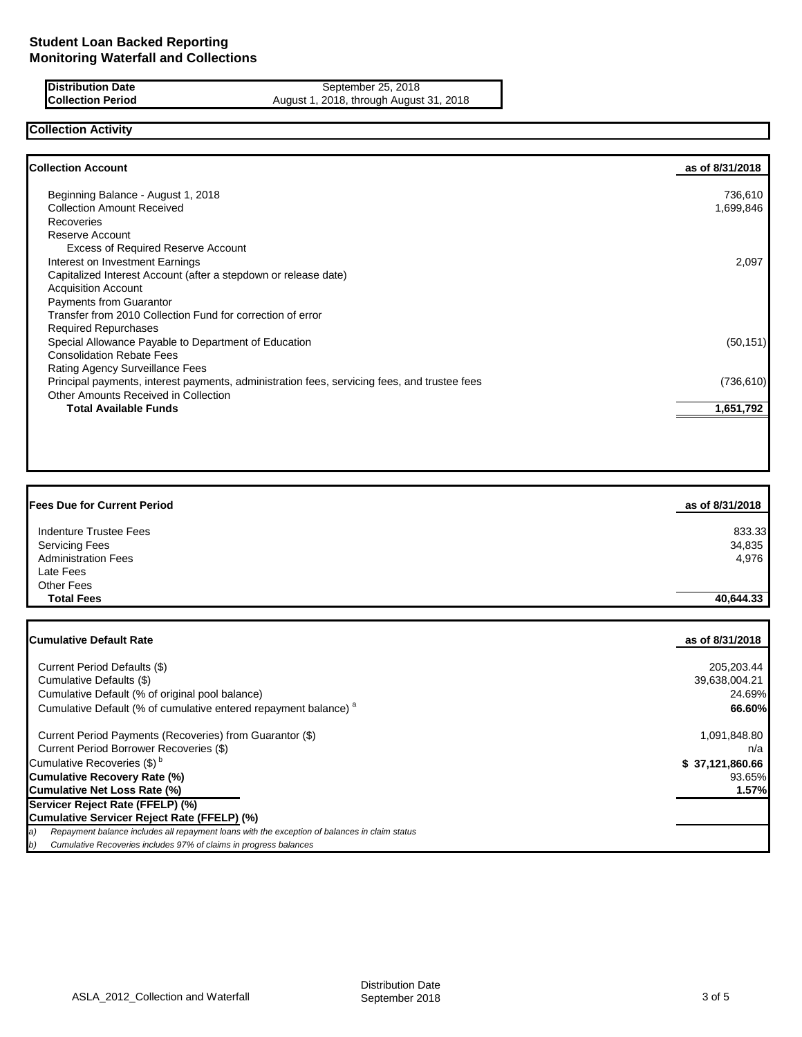**Distribution Date** September 25, 2018 **Collection Period** August 1, 2018, through August 31, 2018

# **Collection Activity**

| <b>Collection Account</b>                                                                    | as of 8/31/2018 |
|----------------------------------------------------------------------------------------------|-----------------|
| Beginning Balance - August 1, 2018                                                           | 736,610         |
| <b>Collection Amount Received</b>                                                            | 1,699,846       |
| Recoveries                                                                                   |                 |
| Reserve Account                                                                              |                 |
| <b>Excess of Required Reserve Account</b>                                                    |                 |
| Interest on Investment Earnings                                                              | 2,097           |
| Capitalized Interest Account (after a stepdown or release date)                              |                 |
| <b>Acquisition Account</b>                                                                   |                 |
| <b>Payments from Guarantor</b>                                                               |                 |
| Transfer from 2010 Collection Fund for correction of error                                   |                 |
| <b>Required Repurchases</b>                                                                  |                 |
| Special Allowance Payable to Department of Education                                         | (50, 151)       |
| <b>Consolidation Rebate Fees</b>                                                             |                 |
| Rating Agency Surveillance Fees                                                              |                 |
| Principal payments, interest payments, administration fees, servicing fees, and trustee fees | (736, 610)      |
| Other Amounts Received in Collection                                                         |                 |
| <b>Total Available Funds</b>                                                                 | 1,651,792       |
|                                                                                              |                 |

| <b>Fees Due for Current Period</b> | as of 8/31/2018 |
|------------------------------------|-----------------|
| Indenture Trustee Fees             | 833.33          |
| <b>Servicing Fees</b>              | 34,835          |
| <b>Administration Fees</b>         | 4,976           |
| Late Fees                          |                 |
| <b>Other Fees</b>                  |                 |
| <b>Total Fees</b>                  | 40,644.33       |
|                                    |                 |

| <b>ICumulative Default Rate</b>                                                                      | as of 8/31/2018 |
|------------------------------------------------------------------------------------------------------|-----------------|
|                                                                                                      |                 |
| Current Period Defaults (\$)                                                                         | 205,203.44      |
| Cumulative Defaults (\$)                                                                             | 39,638,004.21   |
| Cumulative Default (% of original pool balance)                                                      | 24.69%          |
| Cumulative Default (% of cumulative entered repayment balance) <sup>a</sup>                          | 66.60%          |
| Current Period Payments (Recoveries) from Guarantor (\$)                                             | 1,091,848.80    |
| Current Period Borrower Recoveries (\$)                                                              | n/a             |
| Cumulative Recoveries (\$) <sup>b</sup>                                                              | \$37,121,860.66 |
| Cumulative Recovery Rate (%)                                                                         | 93.65%          |
| Cumulative Net Loss Rate (%)                                                                         | 1.57%           |
| Servicer Reject Rate (FFELP) (%)                                                                     |                 |
| Cumulative Servicer Reject Rate (FFELP) (%)                                                          |                 |
| Repayment balance includes all repayment loans with the exception of balances in claim status<br>la) |                 |
| Cumulative Recoveries includes 97% of claims in progress balances<br> b)                             |                 |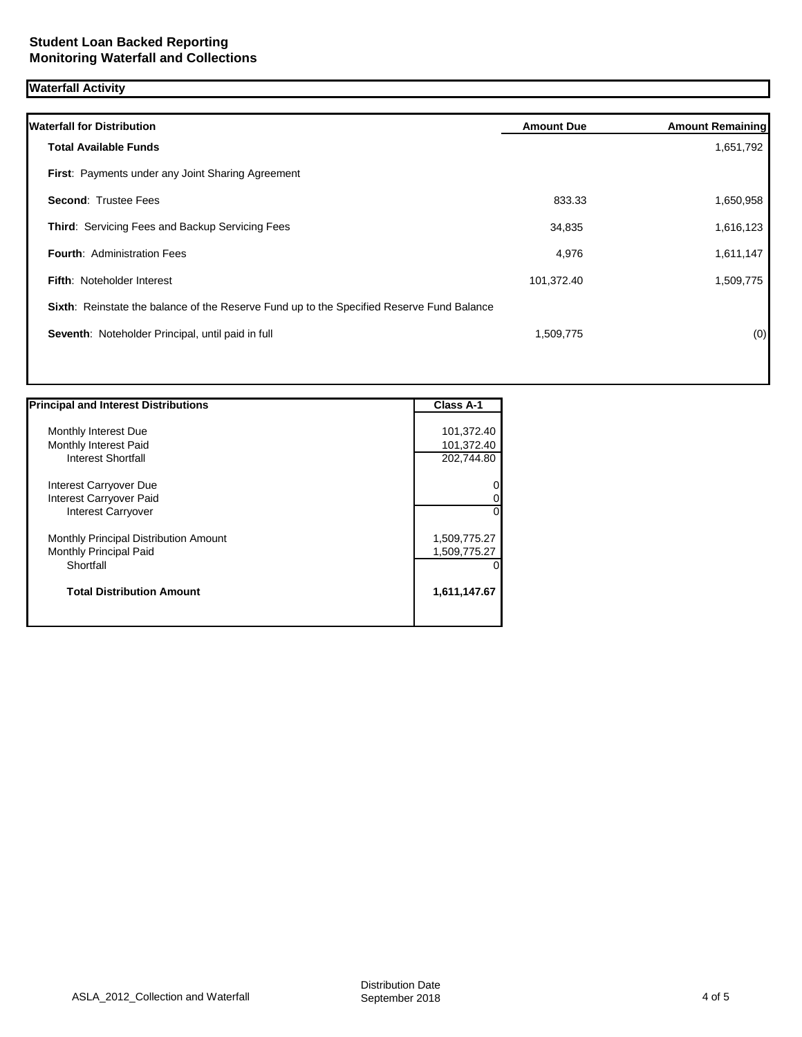## **Waterfall Activity**

| <b>Waterfall for Distribution</b>                                                         | <b>Amount Due</b> | <b>Amount Remaining</b> |
|-------------------------------------------------------------------------------------------|-------------------|-------------------------|
| <b>Total Available Funds</b>                                                              |                   | 1,651,792               |
| <b>First:</b> Payments under any Joint Sharing Agreement                                  |                   |                         |
| <b>Second: Trustee Fees</b>                                                               | 833.33            | 1,650,958               |
| <b>Third: Servicing Fees and Backup Servicing Fees</b>                                    | 34,835            | 1,616,123               |
| <b>Fourth: Administration Fees</b>                                                        | 4,976             | 1,611,147               |
| <b>Fifth: Noteholder Interest</b>                                                         | 101,372.40        | 1,509,775               |
| Sixth: Reinstate the balance of the Reserve Fund up to the Specified Reserve Fund Balance |                   |                         |
| Seventh: Noteholder Principal, until paid in full                                         | 1,509,775         | (0)                     |
|                                                                                           |                   |                         |

| <b>Principal and Interest Distributions</b> | Class A-1    |
|---------------------------------------------|--------------|
|                                             |              |
| Monthly Interest Due                        | 101,372.40   |
| Monthly Interest Paid                       | 101,372.40   |
| <b>Interest Shortfall</b>                   | 202,744.80   |
| Interest Carryover Due                      | 0            |
| Interest Carryover Paid                     | 0            |
| <b>Interest Carryover</b>                   | $\Omega$     |
| Monthly Principal Distribution Amount       | 1,509,775.27 |
| Monthly Principal Paid                      | 1,509,775.27 |
| Shortfall                                   | 0            |
| <b>Total Distribution Amount</b>            | 1,611,147.67 |
|                                             |              |